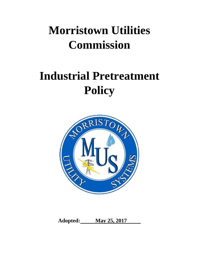# **Morristown Utilities Commission**

# **Industrial Pretreatment Policy**



**Adopted: May 25, 2017**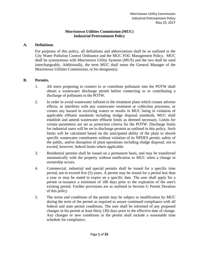# **Morristown Utilities Commission (MUC) Industrial Pretreatment Policy**

### **A. Definitions**

For purposes of this policy, all definitions and abbreviations shall be as outlined in the City Water Pollution Control Ordinance and the MUC FOG Management Policy. MUC shall be synonymous with Morristown Utility Systems (MUS) and the two shall be used interchangeably. Additionally, the term MUC shall mean the General Manager of the Morristown Utilities Commission, or his designee(s).

# **B. Permits.**

- 1. All users proposing to connect to or contribute pollutants into the POTW shall obtain a wastewater discharge permit before connecting to or contributing a discharge of pollutants to the POTW.
- 2. In order to avoid wastewater influent to the treatment plant which creates adverse effects, or interferes with any wastewater treatment or collection processes, or creates any hazard in receiving waters or results in MUC being in violation of applicable effluent standards including sludge disposal standards, MUC shall establish and amend wastewater effluent limits as deemed necessary. Limits for certain parameters are set as protection criteria for the POTW. Discharge limits for industrial users will be set in discharge permits as outlined in this policy. Such limits will be calculated based on the anticipated ability of the plant to absorb specific wastewater constituents without violation of its NPDES permit, safety of the public, and/or disruption of plant operations including sludge disposal; not to exceed, however, federal limits where applicable.
- 3. Residential permits shall be issued on a permanent basis, and may be transferred automatically with the property without notification to MUC when a change in ownership occurs.
- 4. Commercial, industrial and special permits shall be issued for a specific time period, not to exceed five (5) years. A permit may be issued for a period less than a year or may be stated to expire on a specific date. The user shall apply for a permit re-issuance a minimum of 180 days prior to the expiration of the user's existing permit. Further provisions are as outlined in Section G Permit Duration of this policy
- 5. The terms and conditions of the permit may be subject to modification by MUC during the term of the permit as required to assure continued compliance with all federal and state permit conditions. The user shall be informed of any proposed changes in his permit at least thirty (30) days prior to the effective date of change. Any changes or new conditions in the permit shall include a reasonable time schedule for compliance.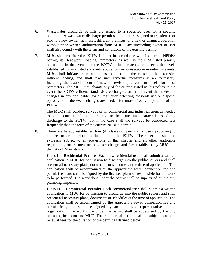- 6. Wastewater discharge permits are issued to a specified user for a specific operation. A wastewater discharge permit shall not be reassigned or transferred or sold to a new owner, new user, different premises, or a new or changed operation without prior written authorization from MUC. Any succeeding owner or user shall also comply with the terms and conditions of the existing permit.
- 7. MUC shall monitor the POTW influent in accordance with its current NPDES permit, its Headwork Loading Parameters, as well as the EPA listed priority pollutants. In the event that the POTW influent reaches or exceeds the levels established by any listed standards above for two consecutive monitoring events, MUC shall initiate technical studies to determine the cause of the excessive influent loading, and shall take such remedial measures as are necessary, including the establishment of new or revised pretreatment levels for these parameters. The MUC may change any of the criteria stated in this policy in the event the POTW effluent standards are changed, or in the event that there are changes in any applicable law or regulation affecting biosolids use or disposal options, or in the event changes are needed for more effective operation of the POTW.

The MUC shall conduct surveys of all commercial and industrial users as needed to obtain current information relative to the nature and characteristics of any discharge to the POTW, but in no case shall the surveys be conducted less frequently than the term of the current NPDES permit.

8. There are hereby established four (4) classes of permits for users proposing to connect to or contribute pollutants into the POTW. These permits shall be expressly subject to all provisions of this chapter and all other applicable regulations, enforcement actions, user charges and fees established by MUC and the City of Morristown.

**Class I -- Residential Permits**. Each new residential user shall submit a written application to MUC for permission to discharge into the public sewers and shall present all necessary plans, documents or schedules at the time of application. The application shall be accompanied by the appropriate sewer connection fee and permit fees, and shall be signed by the licensed plumber responsible for the work to be performed. The work done under the permit shall be supervised by the city plumbing inspector.

**Class II -- Commercial Permits**. Each commercial user shall submit a written application to MUC for permission to discharge into the public sewers and shall present all necessary plans, documents or schedules at the time of application. The application shall be accompanied by the appropriate sewer connection fee and permit fees, and shall be signed by an authorized representative of the organization. The work done under the permit shall be supervised by the city plumbing inspector and MUC. The commercial permit shall be subject to annual renewal fees for the duration of the permit as defined below: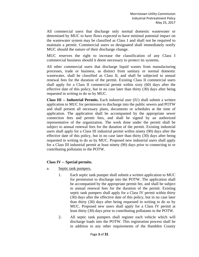All commercial users that discharge only normal domestic wastewater or determined by MUC to have flows expected to have minimal potential impact on the wastewater system may be classified as Class 1 and shall not be required to maintain a permit. Commercial users so designated shall immediately notify MUC should the nature of their discharge change.

MUC reserves the right to increase the classification of any Class I commercial business should it deem necessary to protect its systems.

All other commercial users that discharge liquid wastes from manufacturing processes, trade or business, as distinct from sanitary or normal domestic wastewater, shall be classified as Class II, and shall be subjected to annual renewal fees for the duration of the permit. Existing Class II commercial users shall apply for a Class II commercial permit within sixty (60) days after the effective date of this policy, but in no case later than thirty (30) days after being requested in writing to do so by MUC.

**Class III -- Industrial Permits.** Each industrial user (IU) shall submit a written application to MUC for permission to discharge into the public sewers and POTW and shall present all necessary plans, documents or schedules at the time of application. The application shall be accompanied by the appropriate sewer connection fees and permit fees, and shall be signed by an authorized representative of the organization. The work done under the permit shall be subject to annual renewal fees for the duration of the permit. Existing industrial users shall apply for a Class III industrial permit within ninety (90) days after the effective date of this policy, but in no case later than thirty (30) days after being requested in writing to do so by MUC. Proposed new industrial users shall apply for a Class III industrial permit at least ninety (90) days prior to connecting to or contributing pollutants to the POTW.

### **Class IV -- Special permits.**

- a. Septic tank pumpers.
	- 1. Each septic tank pumper shall submit a written application to MUC for permission to discharge into the POTW. The application shall be accompanied by the appropriate permit fee, and shall be subject to annual renewal fees for the duration of the permit. Existing septic tank pumpers shall apply for a Class IV permit within thirty (30) days after the effective date of this policy, but in no case later than thirty (30) days after being requested in writing to do so by MUC. Proposed new users shall apply for a Class IV permit at least thirty (30) days prior to contributing pollutants to the POTW.
	- 2. All septic tank pumpers shall register each vehicle which will discharge loads into the POTW. This registration process shall be in addition to any other requirements of the Hamblen County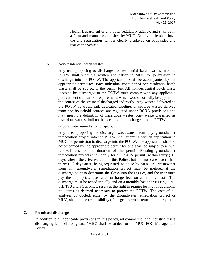Health Department or any other regulatory agency, and shall be in a form and manner established by MUC. Each vehicle shall have the city registration number clearly displayed on both sides and rear of the vehicle.

### b. Non-residential batch wastes.

Any user proposing to discharge non-residential batch wastes into the POTW shall submit a written application to MUC for permission to discharge into the POTW. The application shall be accompanied by the appropriate permit fee. Each individual container of non-residential batch waste shall be subject to the permit fee. All non-residential batch waste loads to be discharged to the POTW must comply with any applicable pretreatment standard or requirements which would normally be applied to the source of the waste if discharged indirectly. Any wastes delivered to the POTW by truck, rail, dedicated pipeline, or septage wastes derived from non-household sources are regulated under RCRA provisions and may meet the definition of hazardous wastes. Any waste classified as hazardous wastes shall not be accepted for discharge into the POTW.

c. Groundwater remediation projects.

Any user proposing to discharge wastewater from any groundwater remediation project into the POTW shall submit a written application to MUC for permission to discharge into the POTW. The application shall be accompanied by the appropriate permit fee and shall be subject to annual renewal fees for the duration of the permit. Existing groundwater remediation projects shall apply for a Class IV permit within thirty (30) days after the effective date of this Policy, but in no case later than thirty (30) days after being requested to do so by MUC. All wastewater from any groundwater remediation project must be metered at the discharge point to determine the flows into the POTW, and the user must pay the appropriate user and surcharge fees on a monthly basis. The discharge must be tested initially and on a monthly basis for BTEX, TPH, pH, TSS and FOG. MUC reserves the right to require testing for additional pollutants as deemed necessary to protect the POTW. The cost of all analyses conducted, either by the groundwater remediation project or MUC, shall be the responsibility of the groundwater remediation project.

# **C. Permitted discharges**

In addition to all applicable provisions in this policy, all commercial and industrial users discharging fats, oils, or grease (FOG) shall be subject to the MUC FOG Management Policy.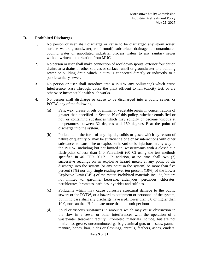#### **D. Prohibited Discharges**

- 1. No person or user shall discharge or cause to be discharged any storm water, surface water, groundwater, roof runoff, subsurface drainage, uncontaminated cooling water or unpolluted industrial process waters to any sanitary sewer without written authorization from MUC.
- 2. No person or user shall make connection of roof down-spouts, exterior foundation drains, area drains or other sources or surface runoff or groundwater to a building sewer or building drain which in turn is connected directly or indirectly to a public sanitary sewer.
- 3. No person or user shall introduce into a POTW any pollutant(s) which cause Interference, Pass Through, cause the plant effluent to fail toxicity test, or are otherwise incompatible with such works.
- 4. No person shall discharge or cause to be discharged into a public sewer, or POTW, any of the following:
	- (a) Fats, wax, grease or oils of animal or vegetable origin in concentrations of greater than specified in Section N of this policy, whether emulsified or not, or containing substances which may solidify or become viscous at temperatures between 32 degrees and 150 degrees F at the point of discharge into the system.
	- (b) Pollutants in the form of any liquids, solids or gases which by reason of nature or quantity or may be sufficient alone or by interactions with other substances to cause fire or explosion hazard or be injurious in any way to the POTW, including but not limited to, wastestreams with a closed cup flash-point of less than 140 Fahrenheit (60 C) using the test methods specified in 40 CFR 261.21. In addition, at no time shall two (2) successive readings on an explosive hazard meter, at any point of the discharge into the system (or any point in the system) be more than five percent (5%) nor any single reading over ten percent (10%) of the Lower Explosive Limit (LEL) of the meter. Prohibited materials include, but are not limited to, gasoline, kerosene, aldehydes, peroxides, chlorates, perchlorates, bromates, carbides, hydrides and sulfides.
	- (c) Pollutants which may cause corrosive structural damage to the public sewers or the POTW, or a hazard to equipment or personnel of the system, but in no case shall any discharge have a pH lower than 5.0 or higher than 10.0, nor can the pH fluctuate more than one unit per hour.
	- (d) Solid or viscous substances in amounts which may cause obstruction to the flow in a sewer or other interferences with the operation of a wastewater treatment facility. Prohibited materials include, but are not limited to, grease, uncomminuted garbage, animal guts or tissues, paunch manure, bones, hair, hides or fleshings, entrails, feathers, ashes, cinders,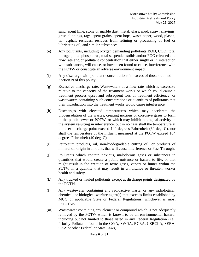sand, spent lime, stone or marble dust, metal, glass, mud, straw, shavings, grass clippings, rags, spent grains, spent hops, waste paper, wood, plastic, tar, asphalt residues, residues from refining or processing of fuel or lubricating oil, and similar substances.

- (e) Any pollutants, including oxygen demanding pollutants BOD, COD, total nitrogen, total phosphorus, total suspended solids and/or FOG released at a flow rate and/or pollutant concentration that either singly or in interaction with substances, will cause, or have been found to cause, interference with the POTW or constitute an adverse environment impact.
- (f) Any discharge with pollutant concentrations in excess of those outlined in Section N of this policy.
- (g) Excessive discharge rate. Wastewaters at a flow rate which is excessive relative to the capacity of the treatment works or which could cause a treatment process upset and subsequent loss of treatment efficiency; or wastewaters containing such concentrations or quantities of pollutants that their introduction into the treatment works would cause interference.
- (h) Discharges with elevated temperatures which may accelerate the biodegradation of the wastes, creating noxious or corrosive gases to form in the public sewer or POTW, or which may inhibit biological activity in the system resulting in interference, but in no case shall the temperature at the user discharge point exceed 140 degrees Fahrenheit (60 deg. C), nor shall the temperature of the influent measured at the POTW exceed 104 degrees Fahrenheit (40 deg. C).
- (i) Petroleum products, oil, non-biodegradable cutting oil, or products of mineral oil origin in amounts that will cause Interference or Pass Through.
- (j) Pollutants which contain noxious, malodorous gases or substances in quantities that would create a public nuisance or hazard to life, or that might result in the creation of toxic gases, vapors or fumes within the POTW in a quantity that may result in a nuisance or threaten worker health and safety.
- (k) Any trucked or hauled pollutants except at discharge points designated by the POTW.
- (l) Any wastewater containing any radioactive waste, or any radiological, chemical, or biological warfare agent(s) that exceeds limits established by MUC or applicable State or Federal Regulations, whichever is most protective.
- (m) Wastewater containing any element or compound which is not adequately removed by the POTW which is known to be an environmental hazard, including but not limited to those listed in any Federal Regulation (i.e., Priority Pollutants found in the CWA, SWDA, RCRA, CERCLA, SERA, CAA or other Federal or State Laws).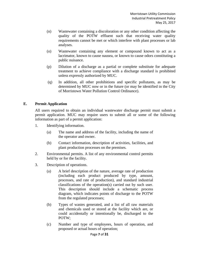- (n) Wastewater containing a discoloration or any other condition affecting the quality of the POTW effluent such that receiving water quality requirements cannot be met or which interfere with plant processes or lab analyses.
- (o) Wastewater containing any element or compound known to act as a lacrimator, known to cause nausea, or known to cause odors constituting a public nuisance.
- (p) Dilution of a discharge as a partial or complete substitute for adequate treatment to achieve compliance with a discharge standard is prohibited unless expressly authorized by MUC.
- (q) In addition, all other prohibitions and specific pollutants, as may be determined by MUC now or in the future (or may be identified in the City of Morristown Water Pollution Control Ordinance).

#### **E. Permit Application**

All users required to obtain an individual wastewater discharge permit must submit a permit application. MUC may require users to submit all or some of the following information as part of a permit application:

- 1. Identifying information.
	- (a) The name and address of the facility, including the name of the operator and owner.
	- (b) Contact information, description of activities, facilities, and plant production processes on the premises.
- 2. Environmental permits. A list of any environmental control permits held by or for the facility.
- 3. Description of operations.
	- (a) A brief description of the nature, average rate of production (including each product produced by type, amount, processes, and rate of production), and standard industrial classifications of the operation(s) carried out by such user. This description should include a schematic process diagram, which indicates points of discharge to the POTW from the regulated processes;
	- (b) Types of wastes generated, and a list of all raw materials and chemicals used or stored at the facility which are, or could accidentally or intentionally be, discharged to the POTW;
	- (c) Number and type of employees, hours of operation, and proposed or actual hours of operation;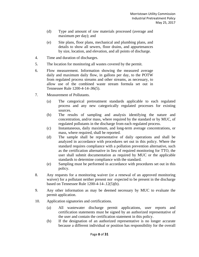- (d) Type and amount of raw materials processed (average and maximum per day); and
- (e) Site plans, floor plans, mechanical and plumbing plans, and details to show all sewers, floor drains, and appurtenances by size, location, and elevation, and all points of discharge.
- 4. Time and duration of discharges.
- 5. The location for monitoring all wastes covered by the permit.
- 6. Flow measurement. Information showing the measured average daily and maximum daily flow, in gallons per day, to the POTW from regulated process streams and other streams, as necessary, to allow use of the combined waste stream formula set out in Tennessee Rule 1200-4-14-.06(5).
- 7. Measurement of Pollutants.
	- (a) The categorical pretreatment standards applicable to each regulated process and any new categorically regulated processes for existing sources.
	- (b) The results of sampling and analysis identifying the nature and concentration, and/or mass, where required by the standard or by MUC, of regulated pollutants in the discharge from each regulated process.
	- (c) Instantaneous, daily maximum, and long-term average concentrations, or mass, where required, shall be reported.
	- (d) The sample shall be representative of daily operations and shall be analyzed in accordance with procedures set out in this policy. Where the standard requires compliance with a pollution prevention alternative, such as the certification alternative in lieu of required monitoring for TTO, the user shall submit documentation as required by MUC or the applicable standards to determine compliance with the standard.
	- (e) Sampling must be performed in accordance with procedures set out in this policy.
- 8. Any requests for a monitoring waiver (or a renewal of an approved monitoring waiver) for a pollutant neither present nor expected to be present in the discharge based on Tennessee Rule 1200-4-14-.12(5)(b).
- 9. Any other information as may be deemed necessary by MUC to evaluate the permit application.
- 10. Application signatories and certifications.
	- (a) All wastewater discharge permit applications, user reports and certification statements must be signed by an authorized representative of the user and contain the certification statement in this policy.
	- (b) If the designation of an authorized representative is no longer accurate because a different individual or position has responsibility for the overall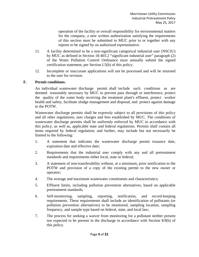operation of the facility or overall responsibility for environmental matters for the company, a new written authorization satisfying the requirements of this section must be submitted to MUC prior to or together with any reports to be signed by an authorized representative.

- 11. A facility determined to be a non-significant categorical industrial user (NSCIU) by MUC as defined in Section 18-403.2 "significant industrial user" paragraph (2) of the Water Pollution Control Ordinance must annually submit the signed certification statement, per Section L5(b) of this policy.
- 12. Incomplete or inaccurate applications will not be processed and will be returned to the user for revision.

# **F. Permit conditions.**

An individual wastewater discharge permit shall include such conditions as are deemed reasonably necessary by MUC to prevent pass through or interference, protect the quality of the water body receiving the treatment plant's effluent, protect worker health and safety, facilitate sludge management and disposal, and protect against damage to the POTW.

Wastewater discharge permits shall be expressly subject to all provisions of this policy and all other regulations, user charges and fees established by MUC. The conditions of wastewater discharge permits shall be uniformly enforced by MUC in accordance with this policy, as well as, applicable state and federal regulations. Permits shall contain all items required by federal regulation; and further, may include but not necessarily be limited to the following:

- 1. A statement that indicates the wastewater discharge permit issuance date, expiration date and effective date;
- 2. Requirements that the industrial user comply with any and all pretreatment standards and requirements either local, state or federal;
- 3. A statement of non-transferability without, at a minimum, prior notification to the POTW and provision of a copy of the existing permit to the new owner or operator;
- 4. The average and maximum wastewater constituents and characteristics;
- 5. Effluent limits, including pollution prevention alternatives, based on applicable pretreatment standards;
- 6. Self-monitoring, sampling, reporting, notification, and record-keeping requirements. These requirements shall include an identification of pollutants (or pollution prevention alternatives) to be monitored, sampling location, sampling frequency, and sample type based on federal, state, and local law;
- 7. The process for seeking a waiver from monitoring for a pollutant neither present nor expected to be present in the discharge in accordance with Section K9(b) of this policy.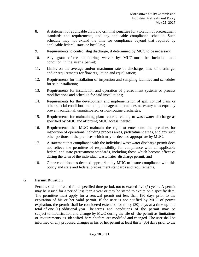- 8. A statement of applicable civil and criminal penalties for violation of pretreatment standards and requirements, and any applicable compliance schedule. Such schedule may not extend the time for compliance beyond that required by applicable federal, state, or local law;
- 9. Requirements to control slug discharge, if determined by MUC to be necessary;
- 10. Any grant of the monitoring waiver by MUC must be included as a condition in the user's permit;
- 11. Limits on the average and/or maximum rate of discharge, time of discharge, and/or requirements for flow regulation and equalization;
- 12. Requirements for installation of inspection and sampling facilities and schedules for said installation;
- 13. Requirements for installation and operation of pretreatment systems or process modifications and schedule for said installations;
- 14. Requirements for the development and implementation of spill control plans or other special conditions including management practices necessary to adequately prevent accidental, unanticipated, or non-routine discharges;
- 15. Requirements for maintaining plant records relating to wastewater discharge as specified by MUC and affording MUC access thereto;
- 16. Requirements that MUC maintain the right to enter onto the premises for inspection of operations including process areas, pretreatment areas, and any such other portions of the premises which may be deemed appropriate by MUC.
- 17. A statement that compliance with the individual wastewater discharge permit does not relieve the permittee of responsibility for compliance with all applicable federal and state pretreatment standards, including those which become effective during the term of the individual wastewater discharge permit; and
- 18. Other conditions as deemed appropriate by MUC to insure compliance with this policy and state and federal pretreatment standards and requirements.

### **G. Permit Duration**

Permits shall be issued for a specified time period, not to exceed five (5) years. A permit may be issued for a period less than a year or may be stated to expire on a specific date. The permittee must apply for a renewal permit not less than 180 days prior to the expiration of his or her valid permit. If the user is not notified by MUC of permit expiration, the permit shall be considered extended for thirty (30) days at a time up to a total of one (1) additional year. The terms and conditions of the permit may be subject to modification and change by MUC during the life of the permit as limitations or requirements as identified hereinbefore are modified and changed. The user shall be informed of any proposed changes in his or her permit at least thirty (30) days prior to the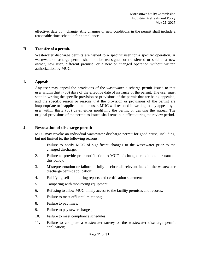effective, date of change. Any changes or new conditions in the permit shall include a reasonable time schedule for compliance.

#### **H. Transfer of a permit.**

Wastewater discharge permits are issued to a specific user for a specific operation. A wastewater discharge permit shall not be reassigned or transferred or sold to a new owner, new user, different premise, or a new or changed operation without written authorization by MUC.

#### **I. Appeals**

Any user may appeal the provisions of the wastewater discharge permit issued to that user within thirty (30) days of the effective date of issuance of the permit. The user must state in writing the specific provision or provisions of the permit that are being appealed, and the specific reason or reasons that the provision or provisions of the permit are inappropriate or inapplicable to the user. MUC will respond in writing to any appeal by a user within thirty (30) days, either modifying the permit or denying the appeal. The original provisions of the permit as issued shall remain in effect during the review period.

#### **J. Revocation of discharge permit**

MUC may revoke an individual wastewater discharge permit for good cause, including, but not limited to, the following reasons:

- 1. Failure to notify MUC of significant changes to the wastewater prior to the changed discharge;
- 2. Failure to provide prior notification to MUC of changed conditions pursuant to this policy;
- 3. Misrepresentation or failure to fully disclose all relevant facts in the wastewater discharge permit application;
- 4. Falsifying self-monitoring reports and certification statements;
- 5. Tampering with monitoring equipment;
- 6. Refusing to allow MUC timely access to the facility premises and records;
- 7. Failure to meet effluent limitations;
- 8. Failure to pay fines;
- 9. Failure to pay sewer charges;
- 10. Failure to meet compliance schedules;
- 11. Failure to complete a wastewater survey or the wastewater discharge permit application;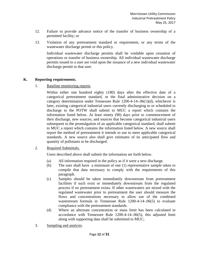- 12. Failure to provide advance notice of the transfer of business ownership of a permitted facility; or
- 13. Violation of any pretreatment standard or requirement, or any terms of the wastewater discharge permit or this policy.

Individual wastewater discharge permits shall be voidable upon cessation of operations or transfer of business ownership. All individual wastewater discharge permits issued to a user are void upon the issuance of a new individual wastewater discharge permit to that user.

#### **K. Reporting requirements.**

1. Baseline monitoring reports.

Within either one hundred eighty (180) days after the effective date of a categorical pretreatment standard, or the final administrative decision on a category determination under Tennessee Rule 1200-4-14-.06(1)(d), whichever is later, existing categorical industrial users currently discharging to or scheduled to discharge to the POTW shall submit to MUC a report which contains the information listed below. At least ninety (90) days prior to commencement of their discharge, new sources, and sources that become categorical industrial users subsequent to the promulgation of an applicable categorical standard, shall submit to MUC a report which contains the information listed below. A new source shall report the method of pretreatment it intends to use to meet applicable categorical standards. A new source also shall give estimates of its anticipated flow and quantity of pollutants to be discharged.

2. Required Submittals.

Users described above shall submit the information set forth below.

- (a) All information required in the policy as if it were a new discharge.
- (b) The user shall have a minimum of one (1) representative sample taken to compile that data necessary to comply with the requirements of this paragraph.
- (c) Samples should be taken immediately downstream from pretreatment facilities if such exist or immediately downstream from the regulated process if no pretreatment exists. If other wastewaters are mixed with the regulated wastewater prior to pretreatment the user should measure the flows and concentrations necessary to allow use of the combined wastestream formula in Tennessee Rule 1200-4-14-.06(5) to evaluate compliance with the pretreatment standards.
- (d) Where an alternate concentration or mass limit has been calculated in accordance with Tennessee Rule 1200-4-14-.06(5), this adjusted limit along with supporting data shall be submitted to MUC;
- 3. Sampling and analysis.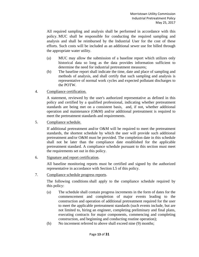All required sampling and analysis shall be performed in accordance with this policy. MUC shall be responsible for conducting the required sampling and analysis and shall be reimbursed by the Industrial User for the cost of these efforts. Such costs will be included as an additional sewer use fee billed through the appropriate water utility.

- (a) MUC may allow the submission of a baseline report which utilizes only historical data so long as the data provides information sufficient to determine the need for industrial pretreatment measures;
- (b) The baseline report shall indicate the time, date and place of sampling and methods of analysis, and shall certify that such sampling and analysis is representative of normal work cycles and expected pollutant discharges to the POTW.
- 4. Compliance certification.

A statement, reviewed by the user's authorized representative as defined in this policy and certified by a qualified professional, indicating whether pretreatment standards are being met on a consistent basis, and, if not, whether additional operation and maintenance (O&M) and/or additional pretreatment is required to meet the pretreatment standards and requirements.

5. Compliance schedule.

If additional pretreatment and/or O&M will be required to meet the pretreatment standards, the shortest schedule by which the user will provide such additional pretreatment and/or O&M must be provided. The completion date in this schedule shall not be later than the compliance date established for the applicable pretreatment standard. A compliance schedule pursuant to this section must meet the requirements set out in this policy.

6. Signature and report certification.

All baseline monitoring reports must be certified and signed by the authorized representative in accordance with Section L5 of this policy.

7. Compliance schedule progress reports.

The following conditions shall apply to the compliance schedule required by this policy:

- (a) The schedule shall contain progress increments in the form of dates for the commencement and completion of major events leading to the construction and operation of additional pretreatment required for the user to meet the applicable pretreatment standards (such events include, but are not limited to, hiring an engineer, completing preliminary and final plans, executing contracts for major components, commencing and completing construction, and beginning and conducting routine operation);
- (b) No increment referred to above shall exceed nine (9) months;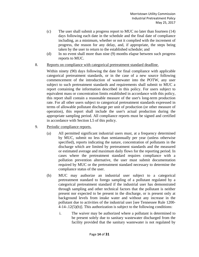- (c) The user shall submit a progress report to MUC no later than fourteen (14) days following each date in the schedule and the final date of compliance including, as a minimum, whether or not it complied with the increment of progress, the reason for any delay, and, if appropriate, the steps being taken by the user to return to the established schedule; and
- (d) In no event shall more than nine (9) months elapse between such progress reports to MUC.
- 8. Reports on compliance with categorical pretreatment standard deadline.

Within ninety (90) days following the date for final compliance with applicable categorical pretreatment standards, or in the case of a new source following commencement of the introduction of wastewater into the POTW, any user subject to such pretreatment standards and requirements shall submit to MUC a report containing the information described in this policy. For users subject to equivalent mass or concentration limits established in accordance with this policy, this report shall contain a reasonable measure of the user's long-term production rate. For all other users subject to categorical pretreatment standards expressed in terms of allowable pollutant discharge per unit of production (or other measure of operation), this report shall include the user's actual production during the appropriate sampling period. All compliance reports must be signed and certified in accordance with Section L5 of this policy.

- 9. Periodic compliance reports.
	- (a) All permitted significant industrial users must, at a frequency determined by MUC, submit no less than semiannually per year (unless otherwise specified), reports indicating the nature, concentration of pollutants in the discharge which are limited by pretreatment standards and the measured or estimated average and maximum daily flows for the reporting period. In cases where the pretreatment standard requires compliance with a pollution prevention alternative, the user must submit documentation required by MUC or the pretreatment standard necessary to determine the compliance status of the user.
	- (b) MUC may authorize an industrial user subject to a categorical pretreatment standard to forego sampling of a pollutant regulated by a categorical pretreatment standard if the industrial user has demonstrated through sampling and other technical factors that the pollutant is neither present nor expected to be present in the discharge, or is present only at background levels from intake water and without any increase in the pollutant due to activities of the industrial user [see Tennessee Rule 1200- 4-14-.12(5)(b)]. This authorization is subject to the following conditions:
		- i. The waiver may be authorized where a pollutant is determined to be present solely due to sanitary wastewater discharged from the facility provided that the sanitary wastewater is not regulated by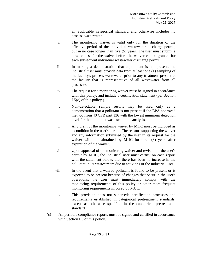an applicable categorical standard and otherwise includes no process wastewater.

- ii. The monitoring waiver is valid only for the duration of the effective period of the individual wastewater discharge permit, but in no case longer than five (5) years. The user must submit a new request for the waiver before the waiver can be granted for each subsequent individual wastewater discharge permit.
- iii. In making a demonstration that a pollutant is not present, the industrial user must provide data from at least one (1) sampling of the facility's process wastewater prior to any treatment present at the facility that is representative of all wastewater from all processes.
- iv. The request for a monitoring waiver must be signed in accordance with this policy, and include a certification statement (per Section  $L5(c)$  of this policy.)
- v. Non-detectable sample results may be used only as a demonstration that a pollutant is not present if the EPA approved method from 40 CFR part 136 with the lowest minimum detection level for that pollutant was used in the analysis.
- vi. Any grant of the monitoring waiver by MUC must be included as a condition in the user's permit. The reasons supporting the waiver and any information submitted by the user in its request for the waiver will be maintained by MUC for three (3) years after expiration of the waiver.
- vii. Upon approval of the monitoring waiver and revision of the user's permit by MUC, the industrial user must certify on each report with the statement below, that there has been no increase in the pollutant in its wastestream due to activities of the industrial user.
- viii. In the event that a waived pollutant is found to be present or is expected to be present because of changes that occur in the user's operations, the user must immediately comply with the monitoring requirements of this policy or other more frequent monitoring requirements imposed by MUC.
	- ix. This provision does not supersede certification processes and requirements established in categorical pretreatment standards, except as otherwise specified in the categorical pretreatment standard.
- (c) All periodic compliance reports must be signed and certified in accordance with Section L5 of this policy.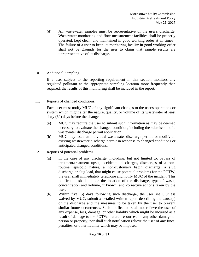(d) All wastewater samples must be representative of the user's discharge. Wastewater monitoring and flow measurement facilities shall be properly operated, kept clean, and maintained in good working order at all times . The failure of a user to keep its monitoring facility in good working order shall not be grounds for the user to claim that sample results are unrepresentative of its discharge.

#### 10. Additional Sampling.

If a user subject to the reporting requirement in this section monitors any regulated pollutant at the appropriate sampling location more frequently than required, the results of this monitoring shall be included in the report.

#### 11. Reports of changed conditions.

Each user must notify MUC of any significant changes to the user's operations or system which might alter the nature, quality, or volume of its wastewater at least sixty (60) days before the change.

- (a) MUC may require the user to submit such information as may be deemed necessary to evaluate the changed condition, including the submission of a wastewater discharge permit application.
- (b) MUC may issue an individual wastewater discharge permit, or modify an existing wastewater discharge permit in response to changed conditions or anticipated changed conditions.
- 12. Reports of potential problems.
	- (a) In the case of any discharge, including, but not limited to, bypass of treatment/treatment upset, accidental discharges, discharges of a nonroutine, episodic nature, a non-customary batch discharge, a slug discharge or slug load, that might cause potential problems for the POTW, the user shall immediately telephone and notify MUC of the incident. This notification shall include the location of the discharge, type of waste, concentration and volume, if known, and corrective actions taken by the user.
	- (b) Within five (5) days following such discharge, the user shall, unless waived by MUC, submit a detailed written report describing the cause(s) of the discharge and the measures to be taken by the user to prevent similar future occurrences. Such notification shall not relieve the user of any expense, loss, damage, or other liability which might be incurred as a result of damage to the POTW, natural resources, or any other damage to person or property; nor shall such notification relieve the user of any fines, penalties, or other liability which may be imposed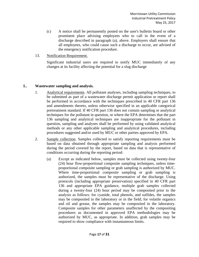- (c) A notice shall be permanently posted on the user's bulletin board or other prominent place advising employees who to call in the event of a discharge described in paragraph (a), above. Employers shall ensure that all employees, who could cause such a discharge to occur, are advised of the emergency notification procedure.
- 13. Notification Requirement.

Significant industrial users are required to notify MUC immediately of any changes at its facility affecting the potential for a slug discharge

# **L. Wastewater sampling and analysis.**

- 1. Analytical requirements. All pollutant analyses, including sampling techniques, to be submitted as part of a wastewater discharge permit application or report shall be performed in accordance with the techniques prescribed in 40 CFR part 136 and amendments thereto, unless otherwise specified in an applicable categorical pretreatment standard. If 40 CFR part 136 does not contain sampling or analytical techniques for the pollutant in question, or where the EPA determines that the part 136 sampling and analytical techniques are inappropriate for the pollutant in question, sampling and analyses shall be performed by using validated analytical methods or any other applicable sampling and analytical procedures, including procedures suggested and/or used by MUC or other parties approved by EPA.
- 2. Sample collection. Samples collected to satisfy reporting requirements must be based on data obtained through appropriate sampling and analysis performed during the period covered by the report, based on data that is representative of conditions occurring during the reporting period:
	- (a) Except as indicated below, samples must be collected using twenty-four (24) hour flow-proportional composite sampling techniques, unless timeproportional composite sampling or grab sampling is authorized by MUC. Where time-proportional composite sampling or grab sampling is authorized, the samples must be representative of the discharge. Using protocols (including appropriate preservation) specified in 40 CFR part 136 and appropriate EPA guidance, multiple grab samples collected during a twenty-four (24) hour period may be composited prior to the analysis as follows: for cyanide, total phenols, and sulfides, the samples may be composited in the laboratory or in the field; for volatile organics and oil and grease, the samples may be composited in the laboratory. Composite samples for other parameters unaffected by the compositing procedures as documented in approved EPA methodologies may be authorized by MUC, as appropriate. In addition, grab samples may be required to show compliance with instantaneous limits.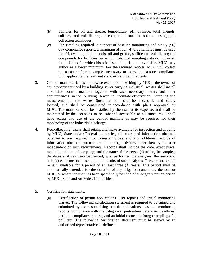- (b) Samples for oil and grease, temperature, pH, cyanide, total phenols, sulfides, and volatile organic compounds must be obtained using grab collection techniques.
- (c) For sampling required in support of baseline monitoring and ninety (90) day compliance reports, a minimum of four (4) grab samples must be used for pH, cyanide, total phenols, oil and grease, sulfide and volatile organic compounds for facilities for which historical sampling data do not exist; for facilities for which historical sampling data are available, MUC may authorize a lower minimum. For the required reports, MUC will collect the number of grab samples necessary to assess and assure compliance with applicable pretreatment standards and requirements.
- 3. Control manhole. Unless otherwise exempted in writing by MUC, the owner of any property serviced by a building sewer carrying industrial wastes shall install a suitable control manhole together with such necessary meters and other appurtenances in the building sewer to facilitate observation, sampling and measurement of the wastes. Such manhole shall be accessible and safely located, and shall be constructed in accordance with plans approved by MUC. The manhole shall be installed by the user at its expense, and shall be maintained by the user so as to be safe and accessible at all times. MUC shall have access and use of the control manhole as may be required for their monitoring of the industrial discharge.
- 4. Recordkeeping. Users shall retain, and make available for inspection and copying by MUC, State and/or Federal authorities, all records of information obtained pursuant to any required monitoring activities, and any additional records of information obtained pursuant to monitoring activities undertaken by the user independent of such requirements. Records shall include the date, exact place, method, and time of sampling, and the name of the person(s) taking the samples; the dates analyses were performed; who performed the analyses; the analytical techniques or methods used; and the results of such analyses. These records shall remain available for a period of at least three (3) years. This period shall be automatically extended for the duration of any litigation concerning the user or MUC, or where the user has been specifically notified of a longer retention period by MUC, State and /or Federal authorities.
- 5. Certification statements.
	- (a) Certification of permit applications, user reports and initial monitoring waiver. The following certification statement is required to be signed and submitted by users submitting permit applications, baseline monitoring reports, compliance with the categorical pretreatment standard deadlines, periodic compliance reports, and an initial request to forego sampling of a pollutant. The following certification statement must be signed by an authorized representative as defined: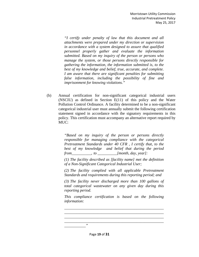*"I certify under penalty of law that this document and all attachments were prepared under my direction or supervision in accordance with a system designed to assure that qualified personnel properly gather and evaluate the information submitted. Based on my inquiry of the person or persons who manage the system, or those persons directly responsible for gathering the information, the information submitted is, to the best of my knowledge and belief, true, accurate, and complete. I am aware that there are significant penalties for submitting false information, including the possibility of fine and imprisonment for knowing violations."* 

(b) Annual certification for non-significant categorical industrial users (NSCIU) as defined in Section E(11) of this policy and the Water Pollution Control Ordinance. A facility determined to be a non-significant categorical industrial user must annually submit the following certification statement signed in accordance with the signatory requirements in this policy. This certification must accompany an alternative report required by MUC:

> *"Based on my inquiry of the person or persons directly responsible for managing compliance with the categorical Pretreatment Standards under 40 CFR , I certify that, to the best of my knowledge and belief that during the period from\_\_\_\_\_\_\_\_\_\_, to \_\_\_\_\_\_\_\_\_\_[month, day, year]:*

> *(1) The facility described as [facility name] met the definition of a Non-Significant Categorical Industrial User;*

> *(2) The facility complied with all applicable Pretreatment Standards and requirements during this reporting period; and*

> *(3) The facility never discharged more than 100 gallons of total categorical wastewater on any given day during this reporting period.*

> *This compliance certification is based on the following information:*

*\_\_\_\_\_\_\_\_\_\_\_\_\_\_\_\_\_\_\_\_\_\_\_\_\_\_\_\_\_\_\_\_\_\_\_\_\_\_\_\_\_\_\_\_\_\_\_\_\_\_\_*

*\_\_\_\_\_\_\_\_\_\_\_\_\_\_\_\_\_\_\_\_\_\_\_\_\_\_\_\_\_\_\_\_\_\_\_\_\_\_\_\_\_\_\_\_\_\_\_\_\_\_\_*

*\_\_\_\_\_\_\_\_\_\_\_"*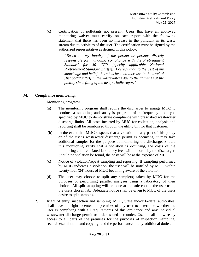(c) Certification of pollutants not present. Users that have an approved monitoring waiver must certify on each report with the following statement that there has been no increase in the pollutant in its waste stream due to activities of the user. The certification must be signed by the authorized representative as defined in this policy.

> *"Based on my inquiry of the person or persons directly responsible for managing compliance with the Pretreatment Standard for 40 CFR [specify applicable National Pretreatment Standard part(s)], I certify that, to the best of my knowledge and belief, there has been no increase in the level of [list pollutant(s)] in the wastewaters due to the activities at the facility since filing of the last periodic report"*

### **M. Compliance monitoring.**

- 1. Monitoring programs.
	- (a) The monitoring program shall require the discharger to engage MUC to conduct a sampling and analysis program of a frequency and type specified by MUC to demonstrate compliance with prescribed wastewater discharge limits. All costs incurred by MUC for collection, analysis and reporting shall be reimbursed through the utility bill for that customer.
	- (b) In the event that MUC suspects that a violation of any part of this policy or of the user's wastewater discharge permit is occurring, it may take additional samples for the purpose of monitoring the discharge. Should this monitoring verify that a violation is occurring, the costs of the monitoring and associated laboratory fees will be borne by the discharger. Should no violation be found, the costs will be at the expense of MUC.
	- (c) Notice of violation/repeat sampling and reporting. If sampling performed by MUC indicates a violation, the user will be notified by MUC within twenty-four (24) hours of MUC becoming aware of the violation.
	- (d) The user may choose to split any sample(s) taken by MUC for the purposes of performing parallel analyses using a laboratory of their choice. All split sampling will be done at the sole cost of the user using the users chosen lab. Adequate notice shall be given to MUC of the users desire to split samples.
- 2. Right of entry: inspection and sampling. MUC, State and/or Federal authorities, shall have the right to enter the premises of any user to determine whether the user is complying with all requirements of this ordinance and any individual wastewater discharge permit or order issued hereunder. Users shall allow ready access to all parts of the premises for the purposes of inspection, sampling, records examination and copying, and the performance of any additional duties.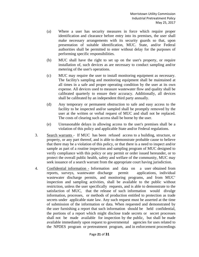- (a) Where a user has security measures in force which require proper identification and clearance before entry into its premises, the user shall make necessary arrangements with its security guards so that, upon presentation of suitable identification, MUC. State, and/or Federal authorities shall be permitted to enter without delay for the purposes of performing specific responsibilities.
- (b) MUC shall have the right to set up on the user's property, or require installation of, such devices as are necessary to conduct sampling and/or metering of the user's operations.
- (c) MUC may require the user to install monitoring equipment as necessary. The facility's sampling and monitoring equipment shall be maintained at all times in a safe and proper operating condition by the user at its own expense. All devices used to measure wastewater flow and quality shall be calibrated quarterly to ensure their accuracy. Additionally, all devices shall be calibrated by an independent third party annually.
- (d) Any temporary or permanent obstruction to safe and easy access to the facility to be inspected and/or sampled shall be promptly removed by the user at the written or verbal request of MUC and shall not be replaced. The costs of clearing such access shall be borne by the user.
- (e) Unreasonable delays in allowing access to the user's premises shall be a violation of this policy and applicable State and/or Federal regulations.
- 3. Search warrants If MUC has been refused access to a building, structure, or property, or any part thereof, and is able to demonstrate probable cause to believe that there may be a violation of this policy, or that there is a need to inspect and/or sample as part of a routine inspection and sampling program of MUC designed to verify compliance with this policy or any permit or order issued hereunder, or to protect the overall public health, safety and welfare of the community, MUC may seek issuance of a search warrant from the appropriate court having jurisdiction.
- 4. Confidential information Information and data on a user obtained from reports, surveys, wastewater discharge permit applications, individual wastewater discharge permits, and monitoring programs, and from MUC' inspection and sampling activities, shall be available to the public without restriction, unless the user specifically requests, and is able to demonstrate to the satisfaction of MUC, that the release of such information would divulge information, processes, or methods of production entitled to protection as trade secrets under applicable state law. Any such request must be asserted at the time of submission of the information or data. When requested and demonstrated by the user furnishing a report that such information should be held confidential, the portions of a report which might disclose trade secrets or secret processes shall not be made available for inspection by the public, but shall be made available immediately upon request to governmental agencies for uses related to the NPDES program or pretreatment program, and in enforcement proceedings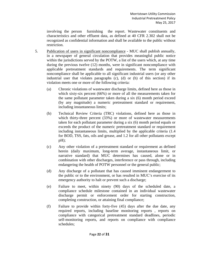involving the person furnishing the report. Wastewater constituents and characteristics and other effluent data, as defined at 40 CFR 2.302 shall not be recognized as confidential information and shall be available to the public without restriction.

- 5. Publication of users in significant noncompliance MUC shall publish annually, in a newspaper of general circulation that provides meaningful public notice within the jurisdictions served by the POTW, a list of the users which, at any time during the previous twelve (12) months, were in significant noncompliance with applicable pretreatment standards and requirements. The term significant noncompliance shall be applicable to all significant industrial users (or any other industrial user that violates paragraphs (c), (d) or (h) of this section) if its violation meets one or more of the following criteria:
	- (a) Chronic violations of wastewater discharge limits, defined here as those in which sixty-six percent (66%) or more of all the measurements taken for the same pollutant parameter taken during a six (6) month period exceed (by any magnitude) a numeric pretreatment standard or requirement, including instantaneous limits;
	- (b) Technical Review Criteria (TRC) violations, defined here as those in which thirty-three percent (33%) or more of wastewater measurements taken for each pollutant parameter during a six (6) month period equals or exceeds the product of the numeric pretreatment standard or requirement including instantaneous limits, multiplied by the applicable criteria (1.4 for BOD, TSS, fats, oils and grease, and 1.2 for all other pollutants except pH);
	- (c) Any other violation of a pretreatment standard or requirement as defined herein (daily maximum, long-term average, instantaneous limit, or narrative standard) that MUC determines has caused, alone or in combination with other discharges, interference or pass through, including endangering the health of POTW personnel or the general public;
	- (d) Any discharge of a pollutant that has caused imminent endangerment to the public or to the environment, or has resulted in MUC's exercise of its emergency authority to halt or prevent such a discharge;
	- (e) Failure to meet, within ninety (90) days of the scheduled date, a compliance schedule milestone contained in an individual wastewater discharge permit or enforcement order for starting construction, completing construction, or attaining final compliance;
	- (f) Failure to provide within forty-five (45) days after the due date, any required reports, including baseline monitoring reports , reports on compliance with categorical pretreatment standard deadlines, periodic self-monitoring reports, and reports on compliance with compliance schedules;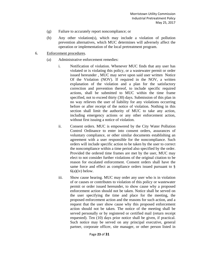- (g) Failure to accurately report noncompliance; or
- (h) Any other violation(s), which may include a violation of pollution prevention alternatives, which MUC determines will adversely affect the operation or implementation of the local pretreatment program.
- 6. Enforcement procedures.
	- (a) Administrative enforcement remedies:
		- i. Notification of violation. Whenever MUC finds that any user has violated or is violating this policy, or a wastewater permit or order issued hereunder , MUC may serve upon said user written Notice Of the Violation (NOV). If required in the NOV, a written explanation of the violation and a plan for the satisfactory correction and prevention thereof, to include specific required actions, shall be submitted to MUC within the time frame specified, not to exceed thirty (30) days. Submission of this plan in no way relieves the user of liability for any violations occurring before or after receipt of the notice of violation. Nothing in this section shall limit the authority of MUC to take any action, including emergency actions or any other enforcement action, without first issuing a notice of violation.
		- ii. Consent orders. MUC is empowered by the City Water Pollution Control Ordinance to enter into consent orders, assurances of voluntary compliance, or other similar documents establishing an agreement with a user responsible for the noncompliance. Such orders will include specific action to be taken by the user to correct the noncompliance within a time period also specified by the order. Provided the ordered time frames are met by the user, MUC may elect to not consider further violations of the original citation to be reason for escalated enforcement. Consent orders shall have the same force and effect as compliance orders issued pursuant to §  $6(a)(iv)$  below.
		- iii. Show cause hearing. MUC may order any user who is in violation of or causes or contributes to violation of this policy or wastewater permit or order issued hereunder, to show cause why a proposed enforcement action should not be taken. Notice shall be served on the user specifying the time and place for the meeting, the proposed enforcement action and the reasons for such action, and a request that the user show cause why this proposed enforcement action should not be taken. The notice of the meeting shall be served personally or by registered or certified mail (return receipt requested). Ten (10) days prior notice shall be given, if practical. Such notice may be served on any principal executive, general partner, corporate officer, site manager, or other person listed in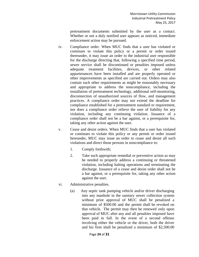pretreatment documents submitted by the user as a contact. Whether or not a duly notified user appears as noticed, immediate enforcement action may be pursued.

- iv. Compliance order. When MUC finds that a user has violated or continues to violate this policy or a permit or order issued thereunder, it may issue an order to the industrial user responsible for the discharge directing that, following a specified time period, sewer service shall be discontinued or penalties imposed unless adequate treatment facilities, devices, or other related appurtenances have been installed and are properly operated or other improvements as specified are carried out. Orders may also contain such other requirements as might be reasonably necessary and appropriate to address the noncompliance, including the installation of pretreatment technology, additional self-monitoring, disconnection of unauthorized sources of flow, and management practices. A compliance order may not extend the deadline for compliance established for a pretreatment standard or requirement, nor does a compliance order relieve the user of liability for any violation, including any continuing violation. Issuance of a compliance order shall not be a bar against, or a prerequisite for, taking any other action against the user.
- v. Cease and desist orders. When MUC finds that a user has violated or continues to violate this policy or any permit or order issued hereunder, MUC may issue an order to cease and desist all such violations and direct those persons in noncompliance to:
	- 1. Comply forthwith;
	- 2. Take such appropriate remedial or preventive action as may be needed to properly address a continuing or threatened violation, including halting operations and terminating the discharge. Issuance of a cease and desist order shall not be a bar against, or a prerequisite for, taking any other action against the user.
- vi. Administrative penalties.
	- (a) Any septic tank pumping vehicle and/or driver discharging into any manhole in the sanitary sewer collection system without prior approval of MUC shall be penalized a minimum of \$500.00 and the permit shall be revoked on that vehicle. The permit may then be renewed only upon approval of MUC after any and all penalties imposed have been paid in full. In the event of a second offense involving either the vehicle or the driver, both the driver and his firm shall be penalized a minimum of \$2,500.00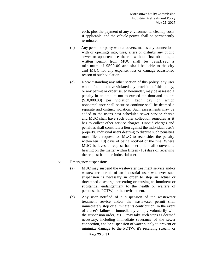each, plus the payment of any environmental cleanup costs if applicable, and the vehicle permit shall be permanently terminated.

- (b) Any person or party who uncovers, makes any connections with or openings into, uses, alters or disturbs any public sewer or appurtenance thereof without first obtaining a written permit from MUC shall be penalized a minimum of \$500.00 and shall be liable to the city and MUC for any expense, loss or damage occasioned reason of such violation.
- (c) Notwithstanding any other section of this policy, any user who is found to have violated any provision of this policy, or any permit or order issued hereunder, may be assessed a penalty in an amount not to exceed ten thousand dollars (\$10,000.00) per violation. Each day on which noncompliance shall occur or continue shall be deemed a separate and distinct violation. Such assessments may be added to the user's next scheduled sewer service charge and MUC shall have such other collection remedies as it has to collect other service charges. Unpaid charges and penalties shall constitute a lien against the individual user's property. Industrial users desiring to dispute such penalties must file a request for MUC to reconsider the penalty within ten (10) days of being notified of the fine. Where MUC believes a request has merit, it shall convene a hearing on the matter within fifteen (15) days of receiving the request from the industrial user.
- vii. Emergency suspensions.
	- (a) MUC may suspend the wastewater treatment service and/or wastewater permit of an industrial user whenever such suspension is necessary in order to stop an actual or threatened discharge presenting or causing an imminent or substantial endangerment to the health or welfare of persons, the POTW, or the environment.
	- (b) Any user notified of a suspension of the wastewater treatment service and/or the wastewater permit shall immediately stop or eliminate its contribution. In the event of a user's failure to immediately comply voluntarily with the suspension order, MUC may take such steps as deemed necessary, including immediate severance of the sewer connection, and/or suspension of water supply to prevent or minimize damage to the POTW, it's receiving stream, or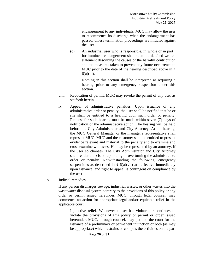endangerment to any individuals. MUC may allow the user to recommence its discharge when the endangerment has passed, unless termination proceedings are initiated against the user.

(c) An industrial user who is responsible, in whole or in part , for imminent endangerment shall submit a detailed written statement describing the causes of the harmful contribution and the measures taken to prevent any future occurrence to MUC prior to the date of the hearing described above in §  $6(a)(iii)$ .

> Nothing in this section shall be interpreted as requiring a hearing prior to any emergency suspension under this section.

- viii. Revocation of permit. MUC may revoke the permit of any user as set forth herein.
- ix. Appeal of administrative penalties. Upon issuance of any administrative order or penalty, the user shall be notified that he or she shall be entitled to a hearing upon such order or penalty. Request for such hearing must be made within seven (7) days of notification of the administrative action. The hearing will be held before the City Administrator and City Attorney. At the hearing, the MUC General Manager or the manager's representative shall represent MUC. MUC and the customer shall be entitled to present evidence relevant and material to the penalty and to examine and cross examine witnesses. He may be represented by an attorney, if the user so chooses. The City Administrator and City Attorney shall render a decision upholding or overturning the administrative order or penalty. Notwithstanding the following, emergency suspensions as described in  $\S$  6(a)(vii) are effective immediately upon issuance, and right to appeal is contingent on compliance by the user.
- b. Judicial remedies.

If any person discharges sewage, industrial wastes, or other wastes into the wastewater disposal system contrary to the provisions of this policy or any order or permit issued hereunder, MUC, through legal counsel, may commence an action for appropriate legal and/or equitable relief in the applicable court.

i. Injunctive relief. Whenever a user has violated or continues to violate the provisions of this policy or permit or order issued hereunder, MUC, through counsel, may petition the court for the issuance of a preliminary or permanent injunction or both (as may be appropriate) which restrains or compels the activities on the part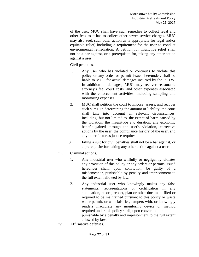of the user. MUC shall have such remedies to collect legal and other fees as it has to collect other sewer service charges. MUC may also seek such other action as is appropriate for legal and/or equitable relief, including a requirement for the user to conduct environmental remediation. A petition for injunctive relief shall not be a bar against, or a prerequisite for, taking any other action against a user.

- ii. Civil penalties.
	- 1. Any user who has violated or continues to violate this policy or any order or permit issued hereunder, shall be liable to MUC for actual damages incurred by the POTW. In addition to damages, MUC may recover reasonable attorney's fee, court costs, and other expenses associated with the enforcement activities, including sampling and monitoring expenses.
	- 2. MUC shall petition the court to impose, assess, and recover such sums. In determining the amount of liability, the court shall take into account all relevant circumstances, including, but not limited to, the extent of harm caused by the violation, the magnitude and duration, any economic benefit gained through the user's violation, corrective actions by the user, the compliance history of the user, and any other factor as justice requires.
	- 3. Filing a suit for civil penalties shall not be a bar against, or a prerequisite for, taking any other action against a user.
- iii. Criminal actions.
	- 1. Any industrial user who willfully or negligently violates any provision of this policy or any orders or permits issued hereunder shall, upon conviction, be guilty of a misdemeanor, punishable by penalty and imprisonment to the full extent allowed by law.
	- 2. Any industrial user who knowingly makes any false statements, representations or certification in any application, record, report, plan or other document filed or required to be maintained pursuant to this policy or waste water permit, or who falsifies, tampers with, or knowingly renders inaccurate any monitoring device or method required under this policy shall, upon conviction, be punishable by a penalty and imprisonment to the full extent allowed by law.
- iv. Affirmative defenses.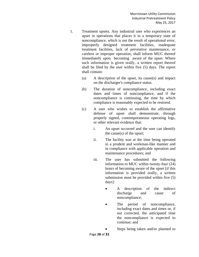- 1. Treatment upsets. Any industrial user who experiences an upset in operations that places it in a temporary state of noncompliance, which is not the result of operational error, improperly designed treatment facilities, inadequate treatment facilities, lack of preventive maintenance, or careless or improper operation, shall inform MUC thereof immediately upon becoming aware of the upset. Where such information is given orally, a written report thereof shall be filed by the user within five (5) days. The report shall contain:
	- (a) A description of the upset, its cause(s) and impact on the discharger's compliance status.
	- (b) The duration of noncompliance, including exact dates and times of noncompliance, and if the noncompliance is continuing, the time by which compliance is reasonably expected to be restored.
	- (c) A user who wishes to establish the affirmative defense of upset shall demonstrate, through properly signed, contemporaneous operating logs, or other relevant evidence that:
		- i. An upset occurred and the user can identify the cause(s) of the upset;
		- ii. The facility was at the time being operated in a prudent and workman-like manner and in compliance with applicable operation and maintenance procedures; and
		- iii. The user has submitted the following information to MUC within twenty-four (24) hours of becoming aware of the upset [if this information is provided orally, a written submission must be provided within five (5) days]:
			- A description of the indirect discharge and cause of noncompliance;
			- The period of noncompliance, including exact dates and times or, if not corrected, the anticipated time the noncompliance is expected to continue; and
			- Steps being taken and/or planned to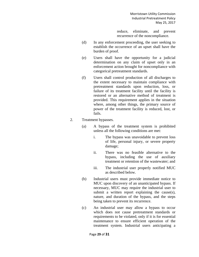reduce, eliminate, and prevent recurrence of the noncompliance.

- (d) In any enforcement proceeding, the user seeking to establish the occurrence of an upset shall have the burden of proof.
- (e) Users shall have the opportunity for a judicial determination on any claim of upset only in an enforcement action brought for noncompliance with categorical pretreatment standards.
- (f) Users shall control production of all discharges to the extent necessary to maintain compliance with pretreatment standards upon reduction, loss, or failure of its treatment facility until the facility is restored or an alternative method of treatment is provided. This requirement applies in the situation where, among other things, the primary source of power of the treatment facility is reduced, lost, or fails.
- 2. Treatment bypasses.
	- (a) A bypass of the treatment system is prohibited unless all the following conditions are met:
		- i. The bypass was unavoidable to prevent loss of life, personal injury, or severe property damage;
		- ii. There was no feasible alternative to the bypass, including the use of auxiliary treatment or retention of the wastewater; and
		- iii. The industrial user properly notified MUC as described below.
	- (b) Industrial users must provide immediate notice to MUC upon discovery of an unanticipated bypass. If necessary, MUC may require the industrial user to submit a written report explaining the cause(s), nature, and duration of the bypass, and the steps being taken to prevent its recurrence.
	- (c) An industrial user may allow a bypass to occur which does not cause pretreatment standards or requirements to be violated, only if it is for essential maintenance to ensure efficient operation of the treatment system. Industrial users anticipating a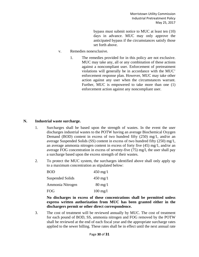bypass must submit notice to MUC at least ten (10) days in advance. MUC may only approve the anticipated bypass if the circumstances satisfy those set forth above.

- v. Remedies nonexclusive.
	- 1. The remedies provided for in this policy are not exclusive. MUC may take any, all or any combination of these actions against a noncompliant user. Enforcement of pretreatment violations will generally be in accordance with the MUC' enforcement response plan. However, MUC may take other action against any user when the circumstances warrant. Further, MUC is empowered to take more than one (1) enforcement action against any noncompliant user.

#### **N. Industrial waste surcharge.**

- 1. Surcharges shall be based upon the strength of wastes. In the event the user discharges industrial wastes to the POTW having an average Biochemical Oxygen Demand (BOD) content in excess of two hundred fifty (250) mg/1, and/or an average Suspended Solids (SS) content in excess of two hundred fifty (250) mg/1, an average ammonia nitrogen content in excess of forty five (45) mg/1, and/or an average FOG concentration in excess of seventy-five (75) mg/l, the user shall pay a surcharge based upon the excess strength of their wastes.
- 2. To protect the MUC system, the surcharges identified above shall only apply up to a maximum concentration as stipulated below:

| <b>BOD</b>       | $450 \text{ mg}/1$ |
|------------------|--------------------|
| Suspended Solids | $450 \text{ mg}/1$ |
| Ammonia Nitrogen | $80 \text{ mg}/1$  |
| FOG.             | $100 \text{ mg}/l$ |

**No discharges in excess of these concentrations shall be permitted unless express written authorization from MUC has been granted either in the dischargers permit or other direct correspondence.** 

3. The cost of treatment will be reviewed annually by MUC. The cost of treatment for each pound of BOD, SS, ammonia nitrogen and FOG removed by the POTW shall be reviewed at the end of each fiscal year and the appropriate surcharge rates applied to the sewer billing. These rates shall be in effect until the next annual rate